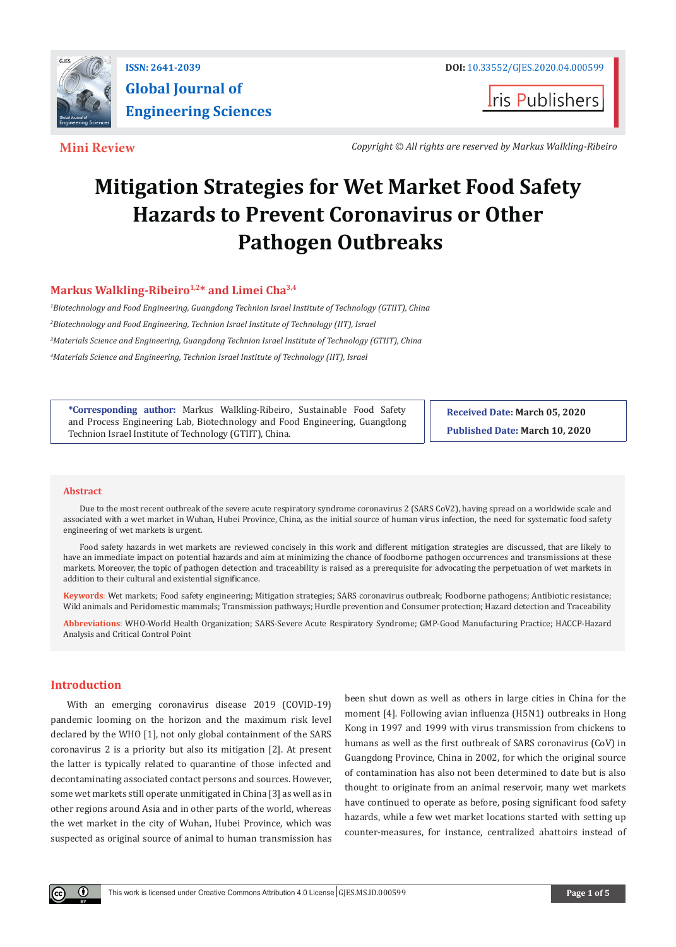

**ISSN: 2641-2039 DOI:** [10.33552/GJES.2020.04.000599](http://dx.doi.org/10.33552/GJES.2020.04.000599) **Global Journal of Engineering Sciences**

**t**ris Publishers

**Mini Review** *Copyright © All rights are reserved by Markus Walkling-Ribeiro*

# **Mitigation Strategies for Wet Market Food Safety Hazards to Prevent Coronavirus or Other Pathogen Outbreaks**

# Markus Walkling-Ribeiro<sup>1,2\*</sup> and Limei Cha<sup>3,4</sup>

 *Biotechnology and Food Engineering, Guangdong Technion Israel Institute of Technology (GTIIT), China Biotechnology and Food Engineering, Technion Israel Institute of Technology (IIT), Israel Materials Science and Engineering, Guangdong Technion Israel Institute of Technology (GTIIT), China Materials Science and Engineering, Technion Israel Institute of Technology (IIT), Israel*

**\*Corresponding author:** Markus Walkling-Ribeiro, Sustainable Food Safety and Process Engineering Lab, Biotechnology and Food Engineering, Guangdong Technion Israel Institute of Technology (GTIIT), China.

**Received Date: March 05, 2020 Published Date: March 10, 2020**

#### **Abstract**

Due to the most recent outbreak of the severe acute respiratory syndrome coronavirus 2 (SARS CoV2), having spread on a worldwide scale and associated with a wet market in Wuhan, Hubei Province, China, as the initial source of human virus infection, the need for systematic food safety engineering of wet markets is urgent.

Food safety hazards in wet markets are reviewed concisely in this work and different mitigation strategies are discussed, that are likely to have an immediate impact on potential hazards and aim at minimizing the chance of foodborne pathogen occurrences and transmissions at these markets. Moreover, the topic of pathogen detection and traceability is raised as a prerequisite for advocating the perpetuation of wet markets in addition to their cultural and existential significance.

**Keywords**: Wet markets; Food safety engineering; Mitigation strategies; SARS coronavirus outbreak; Foodborne pathogens; Antibiotic resistance; Wild animals and Peridomestic mammals; Transmission pathways; Hurdle prevention and Consumer protection; Hazard detection and Traceability

**Abbreviations**: WHO-World Health Organization; SARS-Severe Acute Respiratory Syndrome; GMP-Good Manufacturing Practice; HACCP-Hazard Analysis and Critical Control Point

# **Introduction**

With an emerging coronavirus disease 2019 (COVID-19) pandemic looming on the horizon and the maximum risk level declared by the WHO [1], not only global containment of the SARS coronavirus 2 is a priority but also its mitigation [2]. At present the latter is typically related to quarantine of those infected and decontaminating associated contact persons and sources. However, some wet markets still operate unmitigated in China [3] as well as in other regions around Asia and in other parts of the world, whereas the wet market in the city of Wuhan, Hubei Province, which was suspected as original source of animal to human transmission has been shut down as well as others in large cities in China for the moment [4]. Following avian influenza (H5N1) outbreaks in Hong Kong in 1997 and 1999 with virus transmission from chickens to humans as well as the first outbreak of SARS coronavirus (CoV) in Guangdong Province, China in 2002, for which the original source of contamination has also not been determined to date but is also thought to originate from an animal reservoir, many wet markets have continued to operate as before, posing significant food safety hazards, while a few wet market locations started with setting up counter-measures, for instance, centralized abattoirs instead of

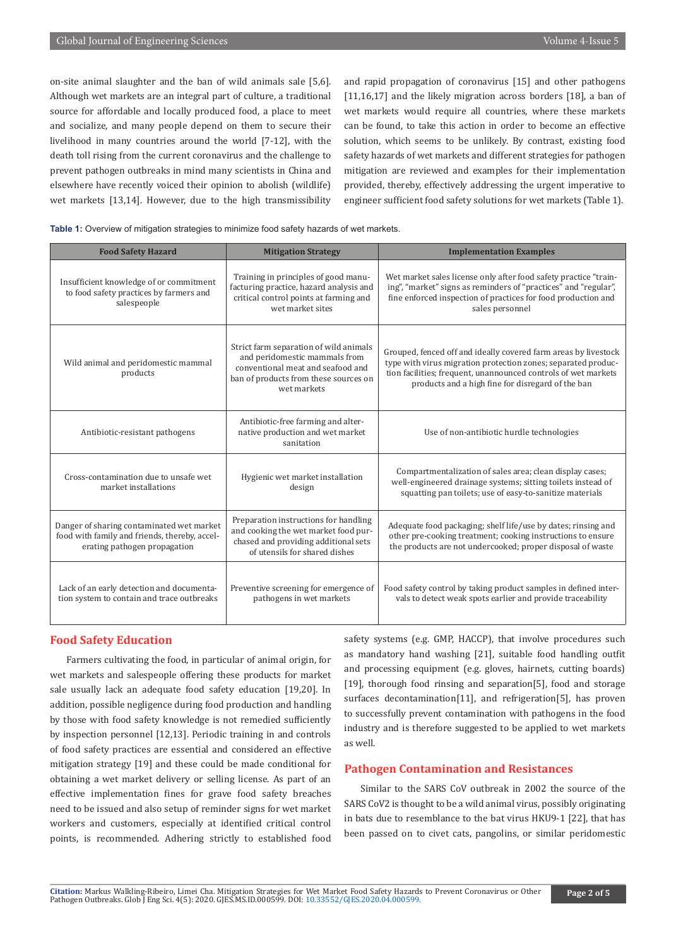on-site animal slaughter and the ban of wild animals sale [5,6]. Although wet markets are an integral part of culture, a traditional source for affordable and locally produced food, a place to meet and socialize, and many people depend on them to secure their livelihood in many countries around the world [7-12], with the death toll rising from the current coronavirus and the challenge to prevent pathogen outbreaks in mind many scientists in China and elsewhere have recently voiced their opinion to abolish (wildlife) wet markets [13,14]. However, due to the high transmissibility

and rapid propagation of coronavirus [15] and other pathogens [11,16,17] and the likely migration across borders [18], a ban of wet markets would require all countries, where these markets can be found, to take this action in order to become an effective solution, which seems to be unlikely. By contrast, existing food safety hazards of wet markets and different strategies for pathogen mitigation are reviewed and examples for their implementation provided, thereby, effectively addressing the urgent imperative to engineer sufficient food safety solutions for wet markets (Table 1).

| Table 1: Overview of mitigation strategies to minimize food safety hazards of wet markets. |  |  |  |  |  |  |
|--------------------------------------------------------------------------------------------|--|--|--|--|--|--|
|--------------------------------------------------------------------------------------------|--|--|--|--|--|--|

| <b>Food Safety Hazard</b>                                                                                                  | <b>Mitigation Strategy</b>                                                                                                                                           | <b>Implementation Examples</b>                                                                                                                                                                                                                          |  |  |
|----------------------------------------------------------------------------------------------------------------------------|----------------------------------------------------------------------------------------------------------------------------------------------------------------------|---------------------------------------------------------------------------------------------------------------------------------------------------------------------------------------------------------------------------------------------------------|--|--|
| Insufficient knowledge of or commitment<br>to food safety practices by farmers and<br>salespeople                          | Training in principles of good manu-<br>facturing practice, hazard analysis and<br>critical control points at farming and<br>wet market sites                        | Wet market sales license only after food safety practice "train-<br>ing", "market" signs as reminders of "practices" and "regular",<br>fine enforced inspection of practices for food production and<br>sales personnel                                 |  |  |
| Wild animal and peridomestic mammal<br>products                                                                            | Strict farm separation of wild animals<br>and peridomestic mammals from<br>conventional meat and seafood and<br>ban of products from these sources on<br>wet markets | Grouped, fenced off and ideally covered farm areas by livestock<br>type with virus migration protection zones; separated produc-<br>tion facilities; frequent, unannounced controls of wet markets<br>products and a high fine for disregard of the ban |  |  |
| Antibiotic-resistant pathogens                                                                                             | Antibiotic-free farming and alter-<br>native production and wet market<br>sanitation                                                                                 | Use of non-antibiotic hurdle technologies                                                                                                                                                                                                               |  |  |
| Cross-contamination due to unsafe wet<br>market installations                                                              | Hygienic wet market installation<br>design                                                                                                                           | Compartmentalization of sales area; clean display cases;<br>well-engineered drainage systems; sitting toilets instead of<br>squatting pan toilets; use of easy-to-sanitize materials                                                                    |  |  |
| Danger of sharing contaminated wet market<br>food with family and friends, thereby, accel-<br>erating pathogen propagation | Preparation instructions for handling<br>and cooking the wet market food pur-<br>chased and providing additional sets<br>of utensils for shared dishes               | Adequate food packaging; shelf life/use by dates; rinsing and<br>other pre-cooking treatment; cooking instructions to ensure<br>the products are not undercooked; proper disposal of waste                                                              |  |  |
| Lack of an early detection and documenta-<br>tion system to contain and trace outbreaks                                    | Preventive screening for emergence of<br>pathogens in wet markets                                                                                                    | Food safety control by taking product samples in defined inter-<br>vals to detect weak spots earlier and provide traceability                                                                                                                           |  |  |

# **Food Safety Education**

Farmers cultivating the food, in particular of animal origin, for wet markets and salespeople offering these products for market sale usually lack an adequate food safety education [19,20]. In addition, possible negligence during food production and handling by those with food safety knowledge is not remedied sufficiently by inspection personnel [12,13]. Periodic training in and controls of food safety practices are essential and considered an effective mitigation strategy [19] and these could be made conditional for obtaining a wet market delivery or selling license. As part of an effective implementation fines for grave food safety breaches need to be issued and also setup of reminder signs for wet market workers and customers, especially at identified critical control points, is recommended. Adhering strictly to established food

safety systems (e.g. GMP, HACCP), that involve procedures such as mandatory hand washing [21], suitable food handling outfit and processing equipment (e.g. gloves, hairnets, cutting boards) [19], thorough food rinsing and separation[5], food and storage surfaces decontamination[11], and refrigeration[5], has proven to successfully prevent contamination with pathogens in the food industry and is therefore suggested to be applied to wet markets as well.

# **Pathogen Contamination and Resistances**

Similar to the SARS CoV outbreak in 2002 the source of the SARS CoV2 is thought to be a wild animal virus, possibly originating in bats due to resemblance to the bat virus HKU9-1 [22], that has been passed on to civet cats, pangolins, or similar peridomestic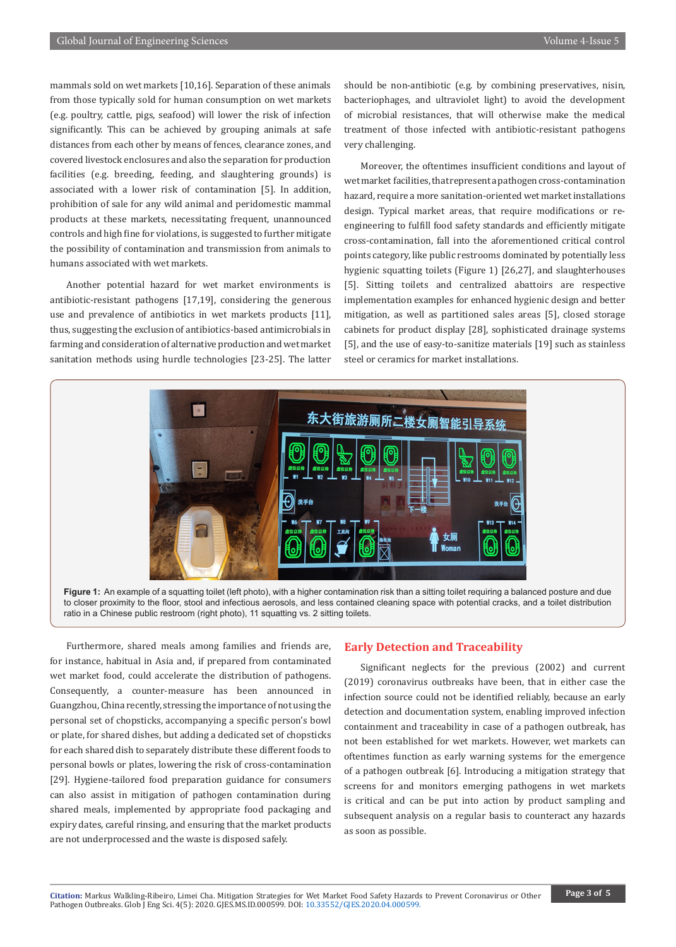mammals sold on wet markets [10,16]. Separation of these animals from those typically sold for human consumption on wet markets (e.g. poultry, cattle, pigs, seafood) will lower the risk of infection significantly. This can be achieved by grouping animals at safe distances from each other by means of fences, clearance zones, and covered livestock enclosures and also the separation for production facilities (e.g. breeding, feeding, and slaughtering grounds) is associated with a lower risk of contamination [5]. In addition, prohibition of sale for any wild animal and peridomestic mammal products at these markets, necessitating frequent, unannounced controls and high fine for violations, is suggested to further mitigate the possibility of contamination and transmission from animals to humans associated with wet markets.

Another potential hazard for wet market environments is antibiotic-resistant pathogens [17,19], considering the generous use and prevalence of antibiotics in wet markets products [11], thus, suggesting the exclusion of antibiotics-based antimicrobials in farming and consideration of alternative production and wet market sanitation methods using hurdle technologies [23-25]. The latter should be non-antibiotic (e.g. by combining preservatives, nisin, bacteriophages, and ultraviolet light) to avoid the development of microbial resistances, that will otherwise make the medical treatment of those infected with antibiotic-resistant pathogens very challenging.

Moreover, the oftentimes insufficient conditions and layout of wet market facilities, that represent a pathogen cross-contamination hazard, require a more sanitation-oriented wet market installations design. Typical market areas, that require modifications or reengineering to fulfill food safety standards and efficiently mitigate cross-contamination, fall into the aforementioned critical control points category, like public restrooms dominated by potentially less hygienic squatting toilets (Figure 1) [26,27], and slaughterhouses [5]. Sitting toilets and centralized abattoirs are respective implementation examples for enhanced hygienic design and better mitigation, as well as partitioned sales areas [5], closed storage cabinets for product display [28], sophisticated drainage systems [5], and the use of easy-to-sanitize materials [19] such as stainless steel or ceramics for market installations.



Figure 1: An example of a squatting toilet (left photo), with a higher contamination risk than a sitting toilet requiring a balanced posture and due to closer proximity to the floor, stool and infectious aerosols, and less contained cleaning space with potential cracks, and a toilet distribution ratio in a Chinese public restroom (right photo), 11 squatting vs. 2 sitting toilets.

Furthermore, shared meals among families and friends are, for instance, habitual in Asia and, if prepared from contaminated wet market food, could accelerate the distribution of pathogens. Consequently, a counter-measure has been announced in Guangzhou, China recently, stressing the importance of not using the personal set of chopsticks, accompanying a specific person's bowl or plate, for shared dishes, but adding a dedicated set of chopsticks for each shared dish to separately distribute these different foods to personal bowls or plates, lowering the risk of cross-contamination [29]. Hygiene-tailored food preparation guidance for consumers can also assist in mitigation of pathogen contamination during shared meals, implemented by appropriate food packaging and expiry dates, careful rinsing, and ensuring that the market products are not underprocessed and the waste is disposed safely.

#### **Early Detection and Traceability**

Significant neglects for the previous (2002) and current (2019) coronavirus outbreaks have been, that in either case the infection source could not be identified reliably, because an early detection and documentation system, enabling improved infection containment and traceability in case of a pathogen outbreak, has not been established for wet markets. However, wet markets can oftentimes function as early warning systems for the emergence of a pathogen outbreak [6]. Introducing a mitigation strategy that screens for and monitors emerging pathogens in wet markets is critical and can be put into action by product sampling and subsequent analysis on a regular basis to counteract any hazards as soon as possible.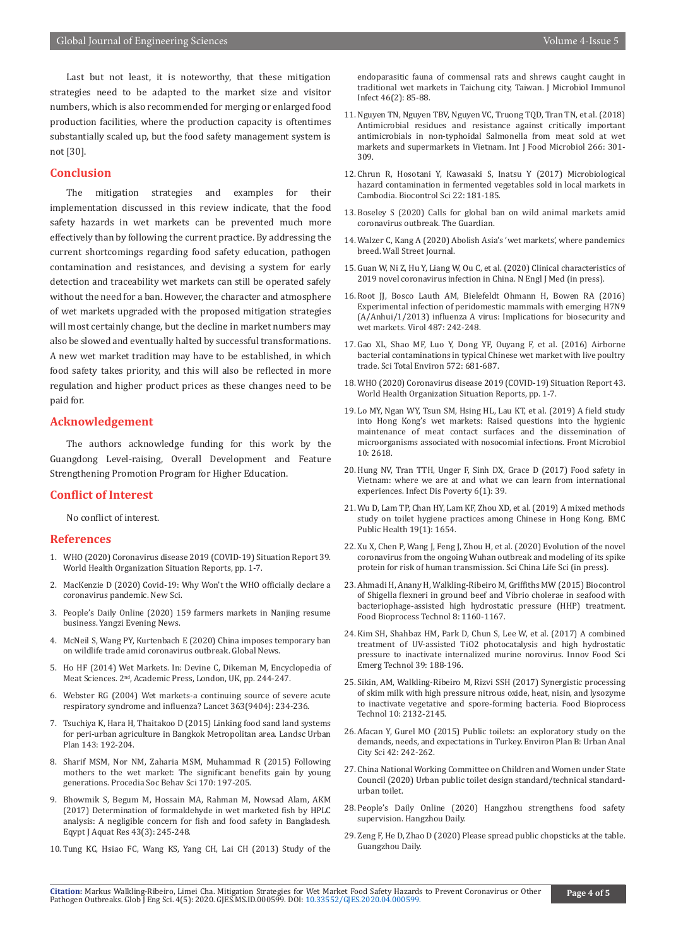Last but not least, it is noteworthy, that these mitigation strategies need to be adapted to the market size and visitor numbers, which is also recommended for merging or enlarged food production facilities, where the production capacity is oftentimes substantially scaled up, but the food safety management system is not [30].

# **Conclusion**

The mitigation strategies and examples for their implementation discussed in this review indicate, that the food safety hazards in wet markets can be prevented much more effectively than by following the current practice. By addressing the current shortcomings regarding food safety education, pathogen contamination and resistances, and devising a system for early detection and traceability wet markets can still be operated safely without the need for a ban. However, the character and atmosphere of wet markets upgraded with the proposed mitigation strategies will most certainly change, but the decline in market numbers may also be slowed and eventually halted by successful transformations. A new wet market tradition may have to be established, in which food safety takes priority, and this will also be reflected in more regulation and higher product prices as these changes need to be paid for.

#### **Acknowledgement**

The authors acknowledge funding for this work by the Guangdong Level-raising, Overall Development and Feature Strengthening Promotion Program for Higher Education.

## **Conflict of Interest**

No conflict of interest.

#### **References**

- 1. [WHO \(2020\) Coronavirus disease 2019 \(COVID-19\) Situation Report 39.](https://www.who.int/docs/default-source/coronaviruse/situation-reports/20200228-sitrep-39-covid-19.pdf?sfvrsn=aa1b80a7_2) [World Health Organization Situation Reports, pp. 1-7.](https://www.who.int/docs/default-source/coronaviruse/situation-reports/20200228-sitrep-39-covid-19.pdf?sfvrsn=aa1b80a7_2)
- 2. MacKenzie [D \(2020\) Covid-19: Why Won't the WHO officially declare a](https://www.newscientist.com/article/2235342-covid-19-why-wont-the-who-officially-declare-a-coronavirus-pandemic/) [coronavirus pandemic. New Sci.](https://www.newscientist.com/article/2235342-covid-19-why-wont-the-who-officially-declare-a-coronavirus-pandemic/)
- 3. [People's Daily Online \(2020\) 159 farmers markets in Nanjing resume](http://js.people.com.cn/GB/n2/2020/0131/c360302-33752935.html) [business. Yangzi Evening News.](http://js.people.com.cn/GB/n2/2020/0131/c360302-33752935.html)
- 4. [McNeil S, Wang PY, Kurtenbach E \(2020\) China imposes temporary ban](https://globalnews.ca/news/6465547/china-bans-wildlife-trade-coronavirus/) [on wildlife trade amid coronavirus outbreak. Global News.](https://globalnews.ca/news/6465547/china-bans-wildlife-trade-coronavirus/)
- 5. [Ho HF \(2014\) Wet Markets. In: Devine C, Dikeman M, Encyclopedia of](https://www.sciencedirect.com/science/article/pii/B9780123847317001811) Meat Sciences. 2[nd, Academic Press, London, UK, pp. 244-247](https://www.sciencedirect.com/science/article/pii/B9780123847317001811).
- 6. [Webster RG \(2004\) Wet markets-a continuing source of severe acute](https://www.ncbi.nlm.nih.gov/pubmed/14738798) [respiratory syndrome and influenza? Lancet 363\(9404\): 234-236.](https://www.ncbi.nlm.nih.gov/pubmed/14738798)
- 7. [Tsuchiya K, Hara H, Thaitakoo D \(2015\) Linking food sand land systems](https://www.semanticscholar.org/paper/Linking-food-and-land-systems-for-sustainable-in-Tsuchiya-Hara/750e10fe8176595eb4135ce05bfdba45904cc7e3) [for peri-urban agriculture in Bangkok Metropolitan area. Landsc Urban](https://www.semanticscholar.org/paper/Linking-food-and-land-systems-for-sustainable-in-Tsuchiya-Hara/750e10fe8176595eb4135ce05bfdba45904cc7e3) [Plan 143: 192-204.](https://www.semanticscholar.org/paper/Linking-food-and-land-systems-for-sustainable-in-Tsuchiya-Hara/750e10fe8176595eb4135ce05bfdba45904cc7e3)
- 8. [Sharif MSM, Nor NM, Zaharia MSM, Muhammad R \(2015\) Following](https://www.sciencedirect.com/science/article/pii/S1877042815000440) [mothers to the wet market: The significant benefits gain by young](https://www.sciencedirect.com/science/article/pii/S1877042815000440) [generations. Procedia Soc Behav Sci 170: 197-205.](https://www.sciencedirect.com/science/article/pii/S1877042815000440)
- 9. [Bhowmik S, Begum M, Hossain MA, Rahman M, Nowsad Alam, AKM](https://www.sciencedirect.com/science/article/pii/S1687428517300419) [\(2017\) Determination of formaldehyde in wet marketed fish by HPLC](https://www.sciencedirect.com/science/article/pii/S1687428517300419) [analysis: A negligible concern for fish and food safety in Bangladesh.](https://www.sciencedirect.com/science/article/pii/S1687428517300419) [Eqypt J Aquat Res 43\(3\): 245-248.](https://www.sciencedirect.com/science/article/pii/S1687428517300419)
- 10. [Tung KC, Hsiao FC, Wang KS, Yang CH, Lai CH \(2013\) Study of the](https://www.ncbi.nlm.nih.gov/pubmed/22516746)

[endoparasitic fauna of commensal rats and shrews caught caught in](https://www.ncbi.nlm.nih.gov/pubmed/22516746)  [traditional wet markets in Taichung city, Taiwan. J Microbiol Immunol](https://www.ncbi.nlm.nih.gov/pubmed/22516746)  [Infect 46\(2\): 85-88.](https://www.ncbi.nlm.nih.gov/pubmed/22516746)

- 11. [Nguyen TN, Nguyen TBV, Nguyen VC, Truong TQD, Tran TN, et al. \(2018\)](https://www.ncbi.nlm.nih.gov/pubmed/29275223)  [Antimicrobial residues and resistance against critically important](https://www.ncbi.nlm.nih.gov/pubmed/29275223)  [antimicrobials in non-typhoidal Salmonella from meat sold at wet](https://www.ncbi.nlm.nih.gov/pubmed/29275223)  [markets and supermarkets in Vietnam. Int J Food Microbiol 266: 301-](https://www.ncbi.nlm.nih.gov/pubmed/29275223) [309.](https://www.ncbi.nlm.nih.gov/pubmed/29275223)
- 12. [Chrun R, Hosotani Y, Kawasaki S, Inatsu Y \(2017\) Microbiological](https://www.ncbi.nlm.nih.gov/pubmed/28954962)  [hazard contamination in fermented vegetables sold in local markets in](https://www.ncbi.nlm.nih.gov/pubmed/28954962)  [Cambodia. Biocontrol Sci 22: 181-185.](https://www.ncbi.nlm.nih.gov/pubmed/28954962)
- 13. [Boseley S \(2020\) Calls for global ban on wild animal markets amid](https://www.theguardian.com/science/2020/jan/24/calls-for-global-ban-wild-animal-markets-amid-coronavirus-outbreak)  [coronavirus outbreak. The Guardian.](https://www.theguardian.com/science/2020/jan/24/calls-for-global-ban-wild-animal-markets-amid-coronavirus-outbreak)
- 14. [Walzer C, Kang A \(2020\) Abolish Asia's 'wet markets', where pandemics](https://www.wsj.com/articles/abolish-asias-wet-markets-where-pandemics-breed-11580168707)  [breed. Wall Street Journal.](https://www.wsj.com/articles/abolish-asias-wet-markets-where-pandemics-breed-11580168707)
- 15. [Guan W, Ni Z, Hu Y, Liang W, Ou C, et al. \(2020\) Clinical characteristics of](https://www.nejm.org/doi/full/10.1056/NEJMoa2002032)  [2019 novel coronavirus infection in China. N Engl J Med \(in press\).](https://www.nejm.org/doi/full/10.1056/NEJMoa2002032)
- 16. [Root JJ, Bosco Lauth AM, Bielefeldt Ohmann H, Bowen RA \(2016\)](https://www.sciencedirect.com/science/article/pii/S0042682216301027)  [Experimental infection of peridomestic mammals with emerging H7N9](https://www.sciencedirect.com/science/article/pii/S0042682216301027)  [\(A/Anhui/1/2013\) influenza A virus: Implications for biosecurity and](https://www.sciencedirect.com/science/article/pii/S0042682216301027)  [wet markets. Virol 487: 242-248.](https://www.sciencedirect.com/science/article/pii/S0042682216301027)
- 17. [Gao XL, Shao MF, Luo Y, Dong YF, Ouyang F, et al. \(2016\) Airborne](https://www.ncbi.nlm.nih.gov/pubmed/27503629)  [bacterial contaminations in typical Chinese wet market with live poultry](https://www.ncbi.nlm.nih.gov/pubmed/27503629)  [trade. Sci Total Environ 572: 681-687.](https://www.ncbi.nlm.nih.gov/pubmed/27503629)
- 18. [WHO \(2020\) Coronavirus disease 2019 \(COVID-19\) Situation Report 43.](https://www.who.int/docs/default-source/coronaviruse/situation-reports/20200303-sitrep-43-covid-19.pdf?sfvrsn=2c21c09c_2)  [World Health Organization Situation Reports, pp. 1-7.](https://www.who.int/docs/default-source/coronaviruse/situation-reports/20200303-sitrep-43-covid-19.pdf?sfvrsn=2c21c09c_2)
- 19. [Lo MY, Ngan WY, Tsun SM, Hsing HL, Lau KT, et al. \(2019\) A field study](https://www.ncbi.nlm.nih.gov/pmc/articles/PMC6861454/)  [into Hong Kong's wet markets: Raised questions into the hygienic](https://www.ncbi.nlm.nih.gov/pmc/articles/PMC6861454/)  [maintenance of meat contact surfaces and the dissemination of](https://www.ncbi.nlm.nih.gov/pmc/articles/PMC6861454/)  [microorganisms associated with nosocomial infections. Front Microbiol](https://www.ncbi.nlm.nih.gov/pmc/articles/PMC6861454/)  [10: 2618.](https://www.ncbi.nlm.nih.gov/pmc/articles/PMC6861454/)
- 20. [Hung NV, Tran TTH, Unger F, Sinh DX, Grace D \(2017\) Food safety in](https://www.ncbi.nlm.nih.gov/pubmed/28209208)  [Vietnam: where we are at and what we can learn from international](https://www.ncbi.nlm.nih.gov/pubmed/28209208)  [experiences. Infect Dis Poverty 6\(1\): 39.](https://www.ncbi.nlm.nih.gov/pubmed/28209208)
- 21. [Wu D, Lam TP, Chan HY, Lam KF, Zhou XD, et al. \(2019\) A mixed methods](https://www.ncbi.nlm.nih.gov/pubmed/31823757)  [study on toilet hygiene practices among Chinese in Hong Kong. BMC](https://www.ncbi.nlm.nih.gov/pubmed/31823757)  [Public Health 19\(1\): 1654.](https://www.ncbi.nlm.nih.gov/pubmed/31823757)
- 22. [Xu X, Chen P, Wang J, Feng J, Zhou H, et al. \(2020\) Evolution of the novel](https://link.springer.com/article/10.1007%2Fs11427-020-1637-5)  [coronavirus from the ongoing Wuhan outbreak and modeling of its spike](https://link.springer.com/article/10.1007%2Fs11427-020-1637-5)  [protein for risk of human transmission. Sci China Life Sci \(in press\).](https://link.springer.com/article/10.1007%2Fs11427-020-1637-5)
- 23. [Ahmadi H, Anany H, Walkling-Ribeiro M, Griffiths MW \(2015\) Biocontrol](https://link.springer.com/article/10.1007/s11947-015-1471-6)  [of Shigella flexneri in ground beef and Vibrio cholerae in seafood with](https://link.springer.com/article/10.1007/s11947-015-1471-6)  [bacteriophage-assisted high hydrostatic pressure \(HHP\) treatment.](https://link.springer.com/article/10.1007/s11947-015-1471-6)  [Food Bioprocess Technol 8: 1160-1167.](https://link.springer.com/article/10.1007/s11947-015-1471-6)
- 24. [Kim SH, Shahbaz HM, Park D, Chun S, Lee W, et al. \(2017\) A combined](https://www.sciencedirect.com/science/article/pii/S1466856416307500)  [treatment of UV-assisted TiO2 photocatalysis and high hydrostatic](https://www.sciencedirect.com/science/article/pii/S1466856416307500)  [pressure to inactivate internalized murine norovirus. Innov Food Sci](https://www.sciencedirect.com/science/article/pii/S1466856416307500)  [Emerg Technol 39: 188-196.](https://www.sciencedirect.com/science/article/pii/S1466856416307500)
- 25. [Sikin, AM, Walkling-Ribeiro M, Rizvi SSH \(2017\) Synergistic processing](https://link.springer.com/article/10.1007/s11947-017-1982-4 
)  [of skim milk with high pressure nitrous oxide, heat, nisin, and lysozyme](https://link.springer.com/article/10.1007/s11947-017-1982-4 
)  [to inactivate vegetative and spore-forming bacteria. Food Bioprocess](https://link.springer.com/article/10.1007/s11947-017-1982-4 
)  [Technol 10: 2132-2145.](https://link.springer.com/article/10.1007/s11947-017-1982-4 
)
- 26. [Afacan Y, Gurel MO \(2015\) Public toilets: an exploratory study on the](https://journals.sagepub.com/doi/10.1068/b130020p)  [demands, needs, and expectations in Turkey. Environ Plan B: Urban Anal](https://journals.sagepub.com/doi/10.1068/b130020p)  [City Sci 42: 242-262.](https://journals.sagepub.com/doi/10.1068/b130020p)
- 27. [China National Working Committee on Children and Women under State](http://www.nwccw.gov.cn/2017-05/26/content_158542.htm)  [Council \(2020\) Urban public toilet design standard/technical standard](http://www.nwccw.gov.cn/2017-05/26/content_158542.htm)[urban toilet.](http://www.nwccw.gov.cn/2017-05/26/content_158542.htm)
- 28. [People's Daily Online \(2020\) Hangzhou strengthens food safety](http://zj.people.com.cn/GB/n2/2020/0220/c186327-33811840.html)  [supervision. Hangzhou Daily.](http://zj.people.com.cn/GB/n2/2020/0220/c186327-33811840.html)
- 29. [Zeng F, He D, Zhao D \(2020\) Please spread public chopsticks at the table.](https://gzdaily.dayoo.com/pc/html/2020-02/25/content_127632_684119.htm)  [Guangzhou Daily.](https://gzdaily.dayoo.com/pc/html/2020-02/25/content_127632_684119.htm)